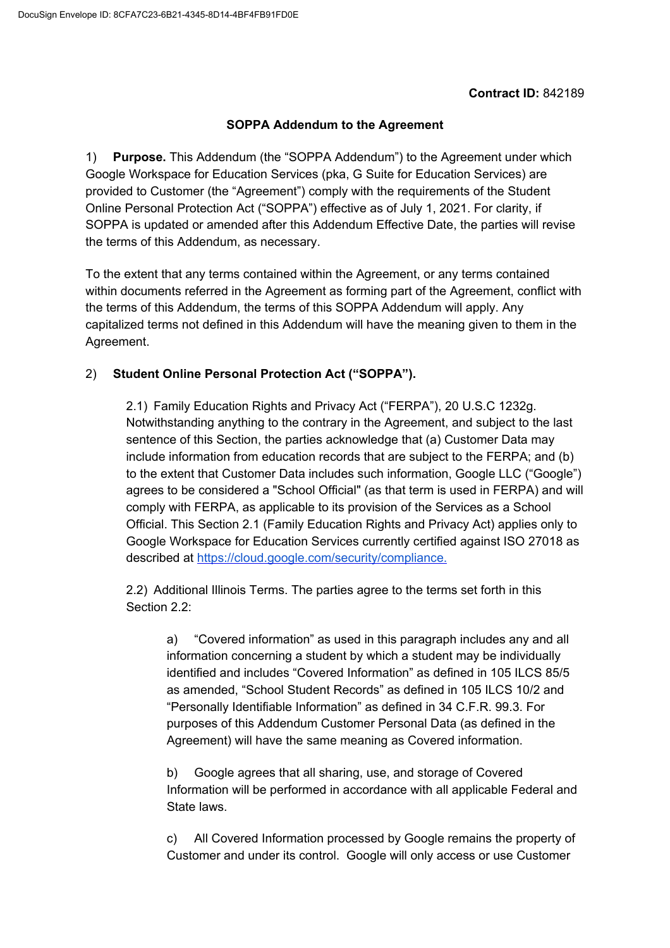### **Contract ID:** 842189

### **SOPPA Addendum to the Agreement**

1) **Purpose.** This Addendum (the "SOPPA Addendum") to the Agreement under which Google Workspace for Education Services (pka, G Suite for Education Services) are provided to Customer (the "Agreement") comply with the requirements of the Student Online Personal Protection Act ("SOPPA") effective as of July 1, 2021. For clarity, if SOPPA is updated or amended after this Addendum Effective Date, the parties will revise the terms of this Addendum, as necessary.

To the extent that any terms contained within the Agreement, or any terms contained within documents referred in the Agreement as forming part of the Agreement, conflict with the terms of this Addendum, the terms of this SOPPA Addendum will apply. Any capitalized terms not defined in this Addendum will have the meaning given to them in the Agreement.

## 2) **Student Online Personal Protection Act ("SOPPA").**

2.1) Family Education Rights and Privacy Act ("FERPA"), 20 U.S.C 1232g. Notwithstanding anything to the contrary in the Agreement, and subject to the last sentence of this Section, the parties acknowledge that (a) Customer Data may include information from education records that are subject to the FERPA; and (b) to the extent that Customer Data includes such information, Google LLC ("Google") agrees to be considered a "School Official" (as that term is used in FERPA) and will comply with FERPA, as applicable to its provision of the Services as a School Official. This Section 2.1 (Family Education Rights and Privacy Act) applies only to Google Workspace for Education Services currently certified against ISO 27018 as described at [https://cloud.google.com/security/compliance.](https://cloud.google.com/security/compliance)

2.2) Additional Illinois Terms. The parties agree to the terms set forth in this Section 2.2:

a) "Covered information" as used in this paragraph includes any and all information concerning a student by which a student may be individually identified and includes "Covered Information" as defined in 105 ILCS 85/5 as amended, "School Student Records" as defined in 105 ILCS 10/2 and "Personally Identifiable Information" as defined in 34 C.F.R. 99.3. For purposes of this Addendum Customer Personal Data (as defined in the Agreement) will have the same meaning as Covered information.

b) Google agrees that all sharing, use, and storage of Covered Information will be performed in accordance with all applicable Federal and State laws.

c) All Covered Information processed by Google remains the property of Customer and under its control. Google will only access or use Customer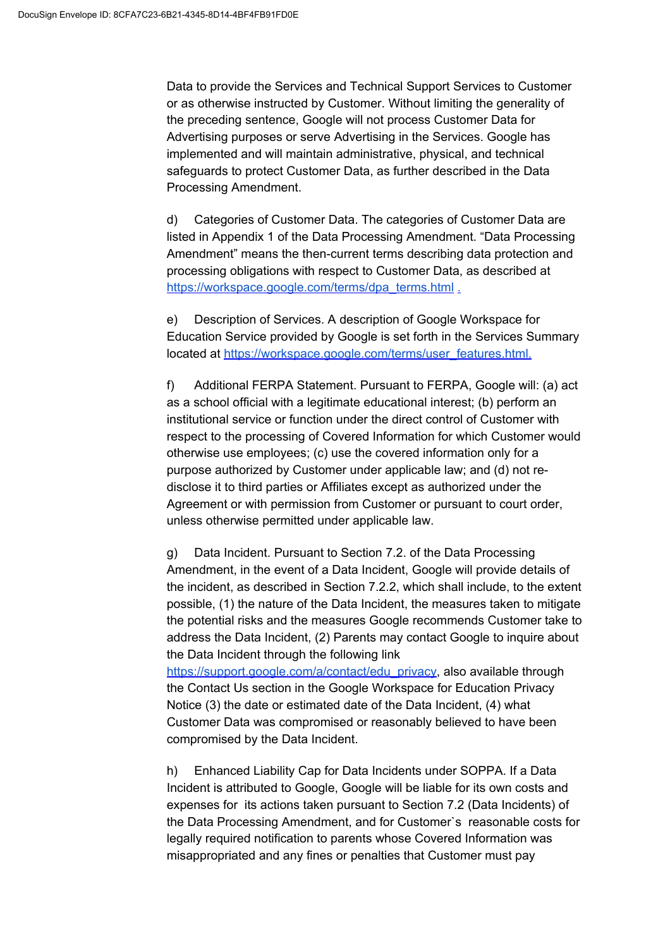Data to provide the Services and Technical Support Services to Customer or as otherwise instructed by Customer. Without limiting the generality of the preceding sentence, Google will not process Customer Data for Advertising purposes or serve Advertising in the Services. Google has implemented and will maintain administrative, physical, and technical safeguards to protect Customer Data, as further described in the Data Processing Amendment.

d) Categories of Customer Data. The categories of Customer Data are listed in Appendix 1 of the Data Processing Amendment. "Data Processing Amendment" means the then-current terms describing data protection and processing obligations with respect to Customer Data, as described at [https://workspace.google.com/terms/dpa\\_terms.html](https://workspace.google.com/terms/dpa_terms.html) [.](https://gsuite.google.com/terms/dpa_terms.html)

e) Description of Services. A description of Google Workspace for Education Service provided by Google is set forth in the Services Summary located at [https://workspace.google.com/terms/user\\_features.html.](https://workspace.google.com/terms/user_features.html)

f) Additional FERPA Statement. Pursuant to FERPA, Google will: (a) act as a school official with a legitimate educational interest; (b) perform an institutional service or function under the direct control of Customer with respect to the processing of Covered Information for which Customer would otherwise use employees; (c) use the covered information only for a purpose authorized by Customer under applicable law; and (d) not redisclose it to third parties or Affiliates except as authorized under the Agreement or with permission from Customer or pursuant to court order, unless otherwise permitted under applicable law.

g) Data Incident. Pursuant to Section 7.2. of the Data Processing Amendment, in the event of a Data Incident, Google will provide details of the incident, as described in Section 7.2.2, which shall include, to the extent possible, (1) the nature of the Data Incident, the measures taken to mitigate the potential risks and the measures Google recommends Customer take to address the Data Incident, (2) Parents may contact Google to inquire about the Data Incident through the following link

[https://support.google.com/a/contact/edu\\_privacy,](https://support.google.com/a/contact/edu_privacy) also available through the Contact Us section in the Google Workspace for Education Privacy Notice (3) the date or estimated date of the Data Incident, (4) what Customer Data was compromised or reasonably believed to have been compromised by the Data Incident.

h) Enhanced Liability Cap for Data Incidents under SOPPA. If a Data Incident is attributed to Google, Google will be liable for its own costs and expenses for its actions taken pursuant to Section 7.2 (Data Incidents) of the Data Processing Amendment, and for Customer`s reasonable costs for legally required notification to parents whose Covered Information was misappropriated and any fines or penalties that Customer must pay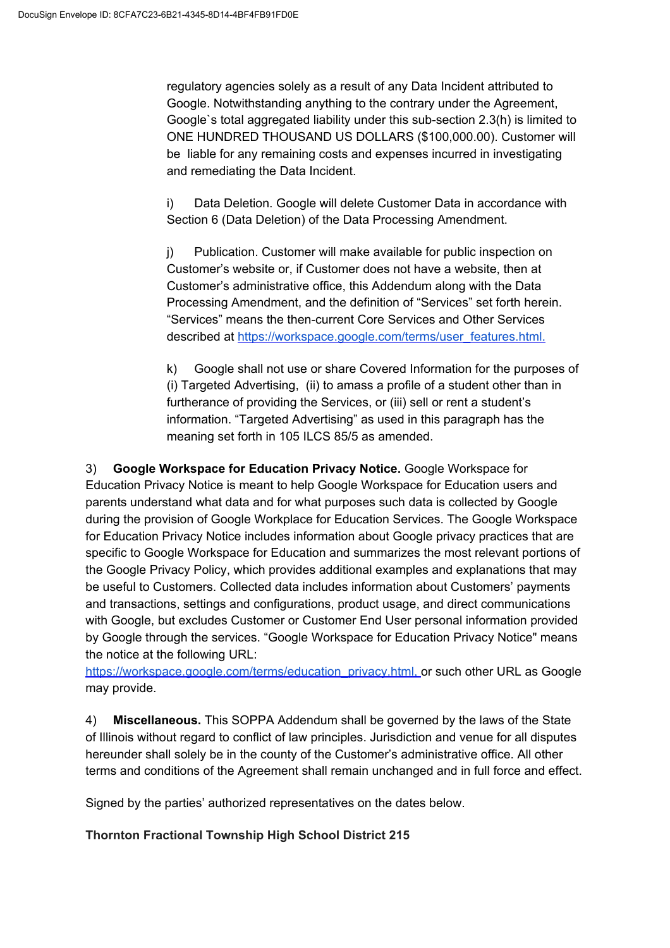regulatory agencies solely as a result of any Data Incident attributed to Google. Notwithstanding anything to the contrary under the Agreement, Google`s total aggregated liability under this sub-section 2.3(h) is limited to ONE HUNDRED THOUSAND US DOLLARS (\$100,000.00). Customer will be liable for any remaining costs and expenses incurred in investigating and remediating the Data Incident.

i) Data Deletion. Google will delete Customer Data in accordance with Section 6 (Data Deletion) of the Data Processing Amendment.

j) Publication. Customer will make available for public inspection on Customer's website or, if Customer does not have a website, then at Customer's administrative office, this Addendum along with the Data Processing Amendment, and the definition of "Services" set forth herein. "Services" means the then-current Core Services and Other Services described at [https://workspace.google.com/terms/user\\_features.html.](https://workspace.google.com/terms/user_features.html)

k) Google shall not use or share Covered Information for the purposes of (i) Targeted Advertising, (ii) to amass a profile of a student other than in furtherance of providing the Services, or (iii) sell or rent a student's information. "Targeted Advertising" as used in this paragraph has the meaning set forth in 105 ILCS 85/5 as amended.

3) **Google Workspace for Education Privacy Notice.** Google Workspace for Education Privacy Notice is meant to help Google Workspace for Education users and parents understand what data and for what purposes such data is collected by Google during the provision of Google Workplace for Education Services. The Google Workspace for Education Privacy Notice includes information about Google privacy practices that are specific to Google Workspace for Education and summarizes the most relevant portions of the Google Privacy Policy, which provides additional examples and explanations that may be useful to Customers. Collected data includes information about Customers' payments and transactions, settings and configurations, product usage, and direct communications with Google, but excludes Customer or Customer End User personal information provided by Google through the services. "Google Workspace for Education Privacy Notice" means the notice at the following URL:

[https://workspace.google.com/terms/education\\_privacy.html](https://workspace.google.com/terms/education_privacy.html)[,](https://workspace.google.com/terms/education_privacy.htmll) or such other URL as Google may provide.

4) **Miscellaneous.** This SOPPA Addendum shall be governed by the laws of the State of Illinois without regard to conflict of law principles. Jurisdiction and venue for all disputes hereunder shall solely be in the county of the Customer's administrative office. All other terms and conditions of the Agreement shall remain unchanged and in full force and effect.

Signed by the parties' authorized representatives on the dates below.

## **Thornton Fractional Township High School District 215**